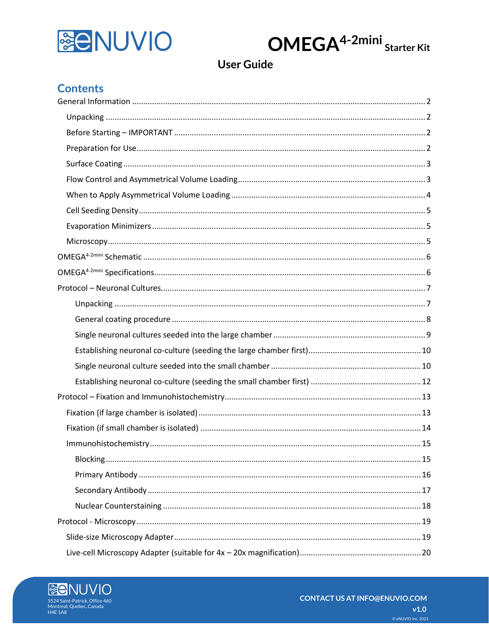



**User Guide** 

## **Contents**

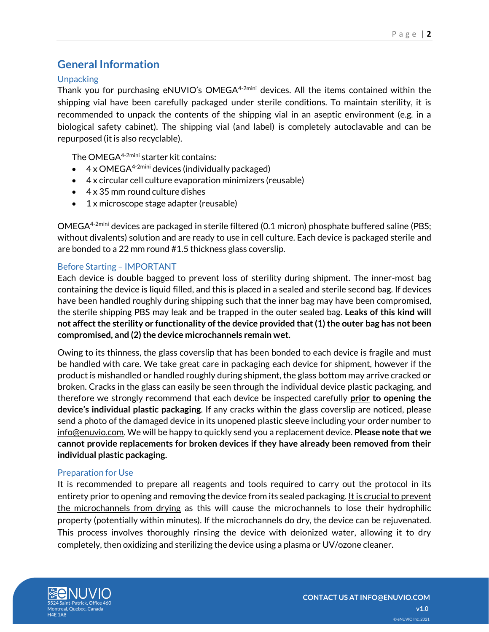## <span id="page-1-0"></span>**General Information**

## <span id="page-1-1"></span>**Unpacking**

Thank you for purchasing eNUVIO's OMEGA<sup>4-2mini</sup> devices. All the items contained within the shipping vial have been carefully packaged under sterile conditions. To maintain sterility, it is recommended to unpack the contents of the shipping vial in an aseptic environment (e.g. in a biological safety cabinet). The shipping vial (and label) is completely autoclavable and can be repurposed (it is also recyclable).

The OMEGA<sup>4-2mini</sup> starter kit contains:

- $4 \times$  OMEGA<sup>4-2mini</sup> devices (individually packaged)
- 4 x circular cell culture evaporation minimizers (reusable)
- 4 x 35 mm round culture dishes
- 1 x microscope stage adapter (reusable)

OMEGA<sup>4-2mini</sup> devices are packaged in sterile filtered (0.1 micron) phosphate buffered saline (PBS; without divalents) solution and are ready to use in cell culture. Each device is packaged sterile and are bonded to a 22 mm round #1.5 thickness glass coverslip.

### <span id="page-1-2"></span>Before Starting – IMPORTANT

Each device is double bagged to prevent loss of sterility during shipment. The inner-most bag containing the device is liquid filled, and this is placed in a sealed and sterile second bag. If devices have been handled roughly during shipping such that the inner bag may have been compromised, the sterile shipping PBS may leak and be trapped in the outer sealed bag. **Leaks of this kind will not affect the sterility or functionality of the device provided that (1) the outer bag has not been compromised, and (2) the device microchannels remain wet.**

Owing to its thinness, the glass coverslip that has been bonded to each device is fragile and must be handled with care. We take great care in packaging each device for shipment, however if the product is mishandled or handled roughly during shipment, the glass bottom may arrive cracked or broken. Cracks in the glass can easily be seen through the individual device plastic packaging, and therefore we strongly recommend that each device be inspected carefully **prior to opening the device's individual plastic packaging**. If any cracks within the glass coverslip are noticed, please send a photo of the damaged device in its unopened plastic sleeve including your order number to info@enuvio.com. We will be happy to quickly send you a replacement device. **Please note that we cannot provide replacements for broken devices if they have already been removed from their individual plastic packaging.**

### <span id="page-1-3"></span>Preparation for Use

It is recommended to prepare all reagents and tools required to carry out the protocol in its entirety prior to opening and removing the device from its sealed packaging. It is crucial to prevent the microchannels from drying as this will cause the microchannels to lose their hydrophilic property (potentially within minutes). If the microchannels do dry, the device can be rejuvenated. This process involves thoroughly rinsing the device with deionized water, allowing it to dry completely, then oxidizing and sterilizing the device using a plasma or UV/ozone cleaner.

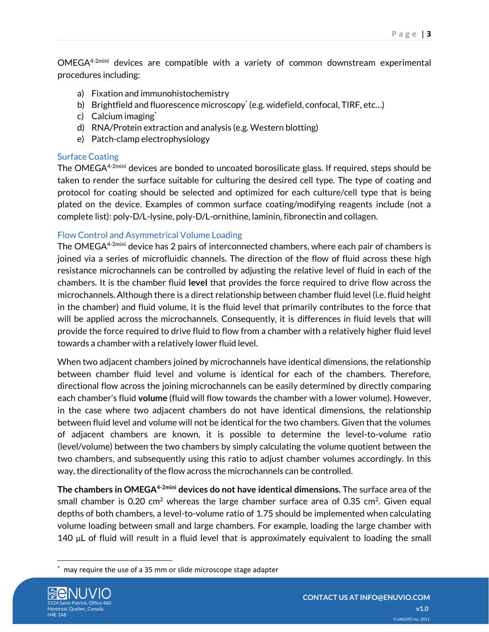$OMEGA<sup>4-2min</sup>$  devices are compatible with a variety of common downstream experimental procedures including:

- a) Fixation and immunohistochemistry
- b) Brightfield and fluorescence microscopy\* (e.g. widefield, confocal, TIRF, etc...)
- c) Calcium imaging<sup>\*</sup>
- d) RNA/Protein extraction and analysis (e.g. Western blotting)
- e) Patch-clamp electrophysiology

## <span id="page-2-0"></span>Surface Coating

The OMEGA<sup>4-2mini</sup> devices are bonded to uncoated borosilicate glass. If required, steps should be taken to render the surface suitable for culturing the desired cell type. The type of coating and protocol for coating should be selected and optimized for each culture/cell type that is being plated on the device. Examples of common surface coating/modifying reagents include (not a complete list): poly-D/L-lysine, poly-D/L-ornithine, laminin, fibronectin and collagen.

## <span id="page-2-1"></span>Flow Control and Asymmetrical Volume Loading

The OMEGA<sup>4-2mini</sup> device has 2 pairs of interconnected chambers, where each pair of chambers is joined via a series of microfluidic channels. The direction of the flow of fluid across these high resistance microchannels can be controlled by adjusting the relative level of fluid in each of the chambers. It is the chamber fluid **level** that provides the force required to drive flow across the microchannels. Although there is a direct relationship between chamber fluid level (i.e. fluid height in the chamber) and fluid volume, it is the fluid level that primarily contributes to the force that will be applied across the microchannels. Consequently, it is differences in fluid levels that will provide the force required to drive fluid to flow from a chamber with a relatively higher fluid level towards a chamber with a relatively lower fluid level.

When two adjacent chambers joined by microchannels have identical dimensions, the relationship between chamber fluid level and volume is identical for each of the chambers. Therefore, directional flow across the joining microchannels can be easily determined by directly comparing each chamber's fluid **volume** (fluid will flow towards the chamber with a lower volume). However, in the case where two adjacent chambers do not have identical dimensions, the relationship between fluid level and volume will not be identical for the two chambers. Given that the volumes of adjacent chambers are known, it is possible to determine the level-to-volume ratio (level/volume) between the two chambers by simply calculating the volume quotient between the two chambers, and subsequently using this ratio to adjust chamber volumes accordingly. In this way, the directionality of the flow across the microchannels can be controlled.

**The chambers in OMEGA4-2mini devices do not have identical dimensions.** The surface area of the small chamber is 0.20 cm<sup>2</sup> whereas the large chamber surface area of 0.35 cm<sup>2</sup>. Given equal depths of both chambers, a level-to-volume ratio of 1.75 should be implemented when calculating volume loading between small and large chambers. For example, loading the large chamber with 140 μL of fluid will result in a fluid level that is approximately equivalent to loading the small

may require the use of a 35 mm or slide microscope stage adapter

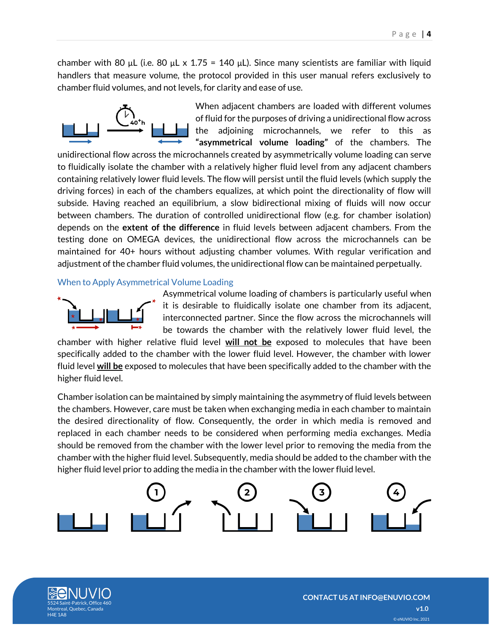chamber with 80 μL (i.e. 80 μL x 1.75 = 140 μL). Since many scientists are familiar with liquid handlers that measure volume, the protocol provided in this user manual refers exclusively to chamber fluid volumes, and not levels, for clarity and ease of use.



When adjacent chambers are loaded with different volumes of fluid for the purposes of driving a unidirectional flow across the adjoining microchannels, we refer to this as **"asymmetrical volume loading"** of the chambers. The

unidirectional flow across the microchannels created by asymmetrically volume loading can serve to fluidically isolate the chamber with a relatively higher fluid level from any adjacent chambers containing relatively lower fluid levels. The flow will persist until the fluid levels (which supply the driving forces) in each of the chambers equalizes, at which point the directionality of flow will subside. Having reached an equilibrium, a slow bidirectional mixing of fluids will now occur between chambers. The duration of controlled unidirectional flow (e.g. for chamber isolation) depends on the **extent of the difference** in fluid levels between adjacent chambers. From the testing done on OMEGA devices, the unidirectional flow across the microchannels can be maintained for 40+ hours without adjusting chamber volumes. With regular verification and adjustment of the chamber fluid volumes, the unidirectional flow can be maintained perpetually.

### <span id="page-3-0"></span>When to Apply Asymmetrical Volume Loading



Asymmetrical volume loading of chambers is particularly useful when it is desirable to fluidically isolate one chamber from its adjacent, interconnected partner. Since the flow across the microchannels will be towards the chamber with the relatively lower fluid level, the

chamber with higher relative fluid level **will not be** exposed to molecules that have been specifically added to the chamber with the lower fluid level. However, the chamber with lower fluid level **will be** exposed to molecules that have been specifically added to the chamber with the higher fluid level.

Chamber isolation can be maintained by simply maintaining the asymmetry of fluid levels between the chambers. However, care must be taken when exchanging media in each chamber to maintain the desired directionality of flow. Consequently, the order in which media is removed and replaced in each chamber needs to be considered when performing media exchanges. Media should be removed from the chamber with the lower level prior to removing the media from the chamber with the higher fluid level. Subsequently, media should be added to the chamber with the higher fluid level prior to adding the media in the chamber with the lower fluid level.



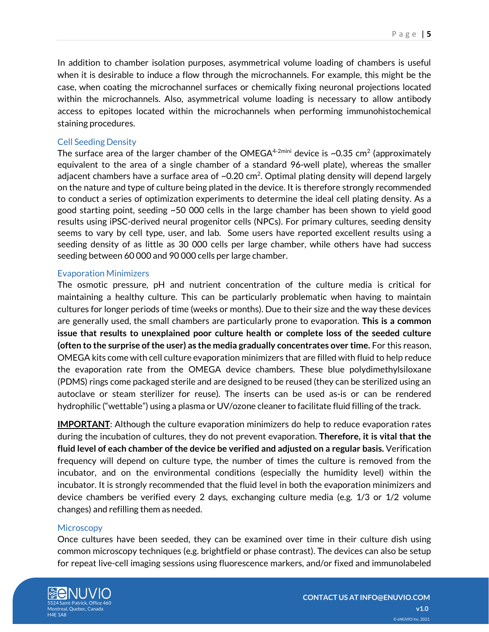In addition to chamber isolation purposes, asymmetrical volume loading of chambers is useful when it is desirable to induce a flow through the microchannels. For example, this might be the case, when coating the microchannel surfaces or chemically fixing neuronal projections located within the microchannels. Also, asymmetrical volume loading is necessary to allow antibody access to epitopes located within the microchannels when performing immunohistochemical staining procedures.

### <span id="page-4-0"></span>Cell Seeding Density

The surface area of the larger chamber of the OMEGA $^{4\text{-}2\text{min}i}$  device is ~0.35 cm $^2$  (approximately equivalent to the area of a single chamber of a standard 96-well plate), whereas the smaller adjacent chambers have a surface area of  $\sim$ 0.20 cm<sup>2</sup>. Optimal plating density will depend largely on the nature and type of culture being plated in the device. It is therefore strongly recommended to conduct a series of optimization experiments to determine the ideal cell plating density. As a good starting point, seeding ~50 000 cells in the large chamber has been shown to yield good results using iPSC-derived neural progenitor cells (NPCs). For primary cultures, seeding density seems to vary by cell type, user, and lab. Some users have reported excellent results using a seeding density of as little as 30 000 cells per large chamber, while others have had success seeding between 60 000 and 90 000 cells per large chamber.

### <span id="page-4-1"></span>Evaporation Minimizers

The osmotic pressure, pH and nutrient concentration of the culture media is critical for maintaining a healthy culture. This can be particularly problematic when having to maintain cultures for longer periods of time (weeks or months). Due to their size and the way these devices are generally used, the small chambers are particularly prone to evaporation. **This is a common issue that results to unexplained poor culture health or complete loss of the seeded culture (often to the surprise of the user) as the media gradually concentrates over time.** For this reason, OMEGA kits come with cell culture evaporation minimizers that are filled with fluid to help reduce the evaporation rate from the OMEGA device chambers. These blue polydimethylsiloxane (PDMS) rings come packaged sterile and are designed to be reused (they can be sterilized using an autoclave or steam sterilizer for reuse). The inserts can be used as-is or can be rendered hydrophilic ("wettable") using a plasma or UV/ozone cleaner to facilitate fluid filling of the track.

**IMPORTANT**: Although the culture evaporation minimizers do help to reduce evaporation rates during the incubation of cultures, they do not prevent evaporation. **Therefore, it is vital that the fluid level of each chamber of the device be verified and adjusted on a regular basis.** Verification frequency will depend on culture type, the number of times the culture is removed from the incubator, and on the environmental conditions (especially the humidity level) within the incubator. It is strongly recommended that the fluid level in both the evaporation minimizers and device chambers be verified every 2 days, exchanging culture media (e.g. 1/3 or 1/2 volume changes) and refilling them as needed.

### <span id="page-4-2"></span>**Microscopy**

Once cultures have been seeded, they can be examined over time in their culture dish using common microscopy techniques (e.g. brightfield or phase contrast). The devices can also be setup for repeat live-cell imaging sessions using fluorescence markers, and/or fixed and immunolabeled

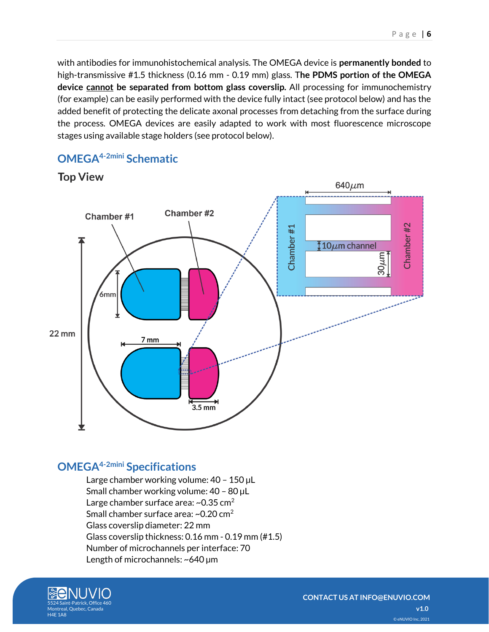with antibodies for immunohistochemical analysis. The OMEGA device is **permanently bonded** to high-transmissive #1.5 thickness (0.16 mm - 0.19 mm) glass. T**he PDMS portion of the OMEGA device cannot be separated from bottom glass coverslip.** All processing for immunochemistry (for example) can be easily performed with the device fully intact (see protocol below) and has the added benefit of protecting the delicate axonal processes from detaching from the surface during the process. OMEGA devices are easily adapted to work with most fluorescence microscope stages using available stage holders (see protocol below).



## <span id="page-5-0"></span>**OMEGA4-2mini Schematic**

<span id="page-5-1"></span>**OMEGA4-2mini Specifications**

Large chamber working volume: 40 – 150 µL Small chamber working volume: 40 – 80 µL Large chamber surface area:  $\sim$ 0.35 cm<sup>2</sup> Small chamber surface area:  $\sim$ 0.20 cm<sup>2</sup> Glass coverslip diameter: 22 mm Glass coverslip thickness: 0.16 mm - 0.19 mm (#1.5) Number of microchannels per interface: 70 Length of microchannels: ~640 µm

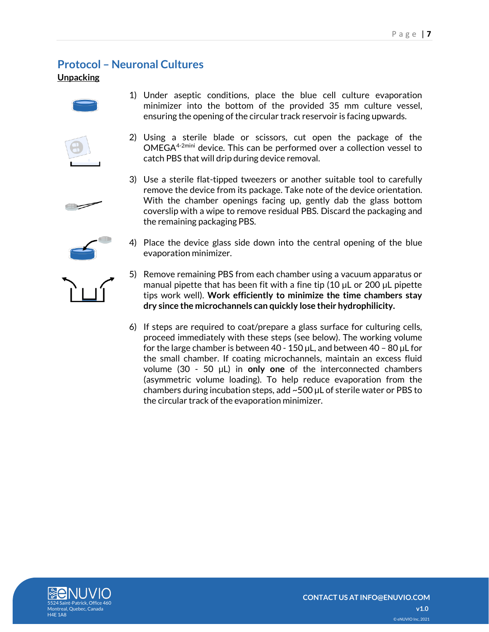## <span id="page-6-0"></span>**Protocol – Neuronal Cultures**

<span id="page-6-1"></span>**Unpacking**



- 1) Under aseptic conditions, place the blue cell culture evaporation minimizer into the bottom of the provided 35 mm culture vessel, ensuring the opening of the circular track reservoir is facing upwards.
- 
- 2) Using a sterile blade or scissors, cut open the package of the OMEGA4-2mini device. This can be performed over a collection vessel to catch PBS that will drip during device removal.
- 3) Use a sterile flat-tipped tweezers or another suitable tool to carefully remove the device from its package. Take note of the device orientation. With the chamber openings facing up, gently dab the glass bottom coverslip with a wipe to remove residual PBS. Discard the packaging and the remaining packaging PBS.
- 4) Place the device glass side down into the central opening of the blue evaporation minimizer.
- 5) Remove remaining PBS from each chamber using a vacuum apparatus or manual pipette that has been fit with a fine tip (10 µL or 200 µL pipette tips work well). **Work efficiently to minimize the time chambers stay dry since the microchannels can quickly lose their hydrophilicity.**
- 6) If steps are required to coat/prepare a glass surface for culturing cells, proceed immediately with these steps (see below). The working volume for the large chamber is between 40 - 150 µL, and between 40 – 80 µL for the small chamber. If coating microchannels, maintain an excess fluid volume (30 - 50 µL) in **only one** of the interconnected chambers (asymmetric volume loading). To help reduce evaporation from the chambers during incubation steps, add ~500 µL of sterile water or PBS to the circular track of the evaporation minimizer.



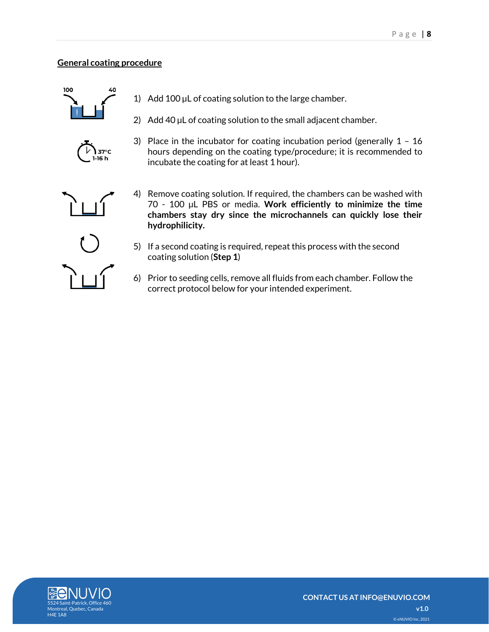## <span id="page-7-0"></span>**General coating procedure**





- 1) Add 100 µL of coating solution to the large chamber.
- 2) Add 40 µL of coating solution to the small adjacent chamber.
- 3) Place in the incubator for coating incubation period (generally 1 16 hours depending on the coating type/procedure; it is recommended to incubate the coating for at least 1 hour).



- 4) Remove coating solution. If required, the chambers can be washed with 70 - 100 µL PBS or media. **Work efficiently to minimize the time chambers stay dry since the microchannels can quickly lose their hydrophilicity.**
- 5) If a second coating is required, repeat this process with the second coating solution (**Step 1**)
- 6) Prior to seeding cells, remove all fluids from each chamber. Follow the correct protocol below for your intended experiment.

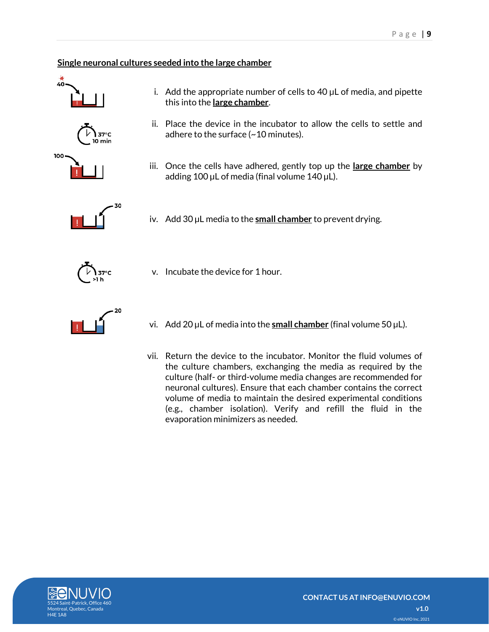## <span id="page-8-0"></span>**Single neuronal cultures seeded into the large chamber**

this into the **large chamber**.

v. Incubate the device for 1 hour.









i. Add the appropriate number of cells to  $40 \mu L$  of media, and pipette

iii. Once the cells have adhered, gently top up the **large chamber** by adding 100 µL of media (final volume 140 µL).



iv. Add 30 µL media to the **small chamber** to prevent drying.



- 
- vi. Add 20 µL of media into the **small chamber** (final volume 50 µL).
- vii. Return the device to the incubator. Monitor the fluid volumes of the culture chambers, exchanging the media as required by the culture (half- or third-volume media changes are recommended for neuronal cultures). Ensure that each chamber contains the correct volume of media to maintain the desired experimental conditions (e.g., chamber isolation). Verify and refill the fluid in the evaporation minimizers as needed.

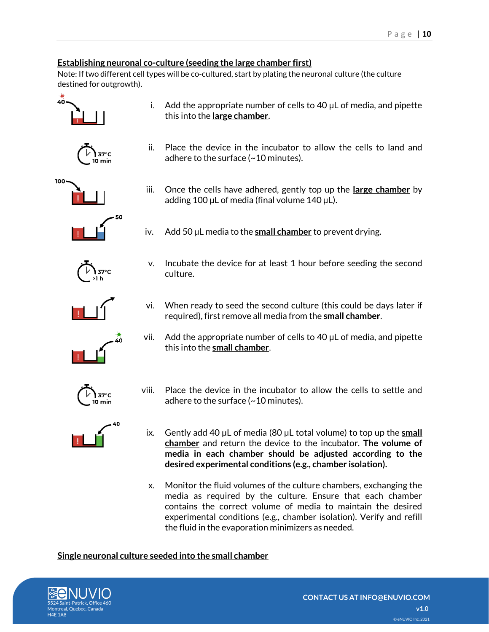## <span id="page-9-0"></span>**Establishing neuronal co-culture (seeding the large chamber first)**

culture.

Note: If two different cell types will be co-cultured, start by plating the neuronal culture (the culture destined for outgrowth).

adhere to the surface (~10 minutes).

adding 100  $\mu$ L of media (final volume 140  $\mu$ L).

iv. Add 50 µL media to the **small chamber** to prevent drying.



i. Add the appropriate number of cells to  $40 \mu$ L of media, and pipette this into the **large chamber**.

ii. Place the device in the incubator to allow the cells to land and

iii. Once the cells have adhered, gently top up the **large chamber** by

v. Incubate the device for at least 1 hour before seeding the second









vii. Add the appropriate number of cells to 40 µL of media, and pipette this into the **small chamber**.

vi. When ready to seed the second culture (this could be days later if required), first remove all media from the **small chamber**.

- 
- 
- viii. Place the device in the incubator to allow the cells to settle and adhere to the surface (~10 minutes).
- ix. Gently add 40 µL of media (80 µL total volume) to top up the **small chamber** and return the device to the incubator. **The volume of media in each chamber should be adjusted according to the desired experimental conditions (e.g., chamber isolation).**
- x. Monitor the fluid volumes of the culture chambers, exchanging the media as required by the culture. Ensure that each chamber contains the correct volume of media to maintain the desired experimental conditions (e.g., chamber isolation). Verify and refill the fluid in the evaporation minimizers as needed.

### <span id="page-9-1"></span>**Single neuronal culture seeded into the small chamber**

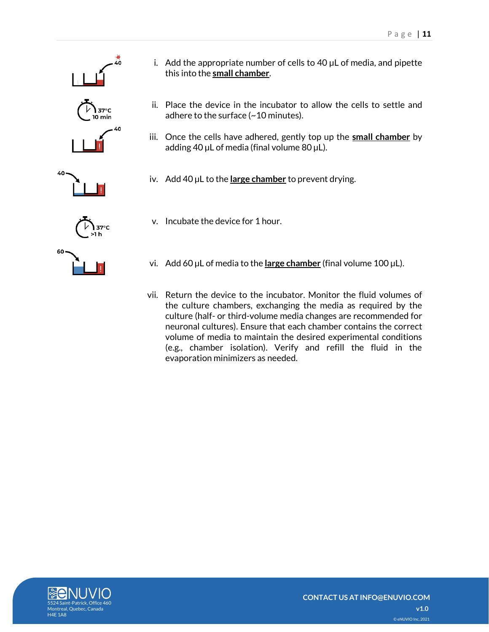



- i. Add the appropriate number of cells to 40 µL of media, and pipette this into the **small chamber**.
- ii. Place the device in the incubator to allow the cells to settle and adhere to the surface (~10 minutes).
- iii. Once the cells have adhered, gently top up the **small chamber** by adding 40  $\mu$ L of media (final volume 80  $\mu$ L).
- iv. Add 40 µL to the **large chamber** to prevent drying.
- v. Incubate the device for 1 hour.
- vi. Add 60 µL of media to the **large chamber** (final volume 100 µL).
- vii. Return the device to the incubator. Monitor the fluid volumes of the culture chambers, exchanging the media as required by the culture (half- or third-volume media changes are recommended for neuronal cultures). Ensure that each chamber contains the correct volume of media to maintain the desired experimental conditions (e.g., chamber isolation). Verify and refill the fluid in the evaporation minimizers as needed.

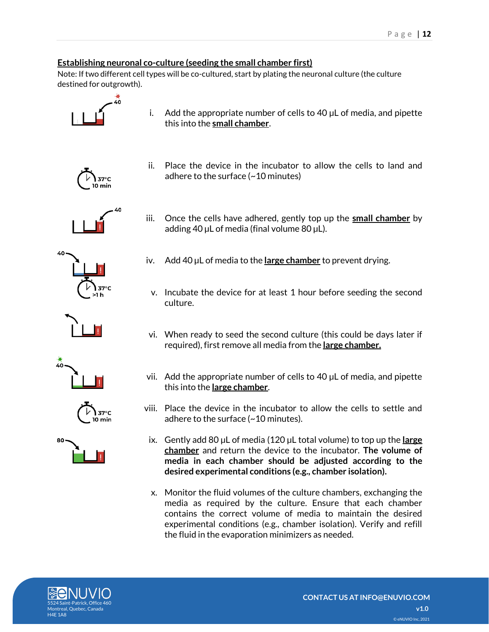### <span id="page-11-0"></span>**Establishing neuronal co-culture (seeding the small chamber first)**

Note: If two different cell types will be co-cultured, start by plating the neuronal culture (the culture destined for outgrowth).



i. Add the appropriate number of cells to  $40 \mu L$  of media, and pipette this into the **small chamber**.



ii. Place the device in the incubator to allow the cells to land and adhere to the surface (~10 minutes)

iii. Once the cells have adhered, gently top up the **small chamber** by

iv. Add 40 µL of media to the **large chamber** to prevent drying.

adding 40 µL of media (final volume 80 µL).





 $37^{\circ}$ C

- v. Incubate the device for at least 1 hour before seeding the second culture.
- vi. When ready to seed the second culture (this could be days later if required), first remove all media from the **large chamber.**
- vii. Add the appropriate number of cells to 40 µL of media, and pipette this into the **large chamber**.
- viii. Place the device in the incubator to allow the cells to settle and adhere to the surface (~10 minutes).
	- ix. Gently add 80 µL of media (120 µL total volume) to top up the **large chamber** and return the device to the incubator. **The volume of media in each chamber should be adjusted according to the desired experimental conditions (e.g., chamber isolation).**
	- x. Monitor the fluid volumes of the culture chambers, exchanging the media as required by the culture. Ensure that each chamber contains the correct volume of media to maintain the desired experimental conditions (e.g., chamber isolation). Verify and refill the fluid in the evaporation minimizers as needed.

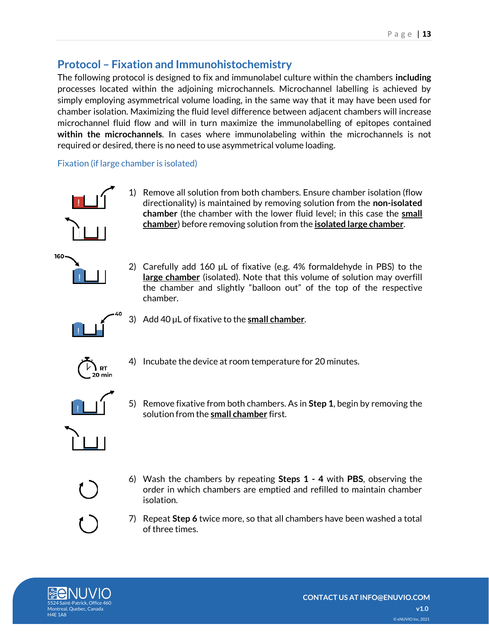# <span id="page-12-0"></span>**Protocol – Fixation and Immunohistochemistry**

The following protocol is designed to fix and immunolabel culture within the chambers **including** processes located within the adjoining microchannels. Microchannel labelling is achieved by simply employing asymmetrical volume loading, in the same way that it may have been used for chamber isolation. Maximizing the fluid level difference between adjacent chambers will increase microchannel fluid flow and will in turn maximize the immunolabelling of epitopes contained **within the microchannels**. In cases where immunolabeling within the microchannels is not required or desired, there is no need to use asymmetrical volume loading.

<span id="page-12-1"></span>Fixation (if large chamber is isolated)



1) Remove all solution from both chambers. Ensure chamber isolation (flow directionality) is maintained by removing solution from the **non-isolated chamber** (the chamber with the lower fluid level; in this case the **small chamber**) before removing solution from the **isolated large chamber**.



2) Carefully add 160 µL of fixative (e.g. 4% formaldehyde in PBS) to the **large chamber** (isolated). Note that this volume of solution may overfill the chamber and slightly "balloon out" of the top of the respective chamber.



3) Add 40 µL of fixative to the **small chamber**.



4) Incubate the device at room temperature for 20 minutes.



5) Remove fixative from both chambers. As in **Step 1**, begin by removing the solution from the **small chamber** first.



6) Wash the chambers by repeating **Steps 1 - 4** with **PBS**, observing the order in which chambers are emptied and refilled to maintain chamber isolation.



7) Repeat **Step 6** twice more, so that all chambers have been washed a total of three times.

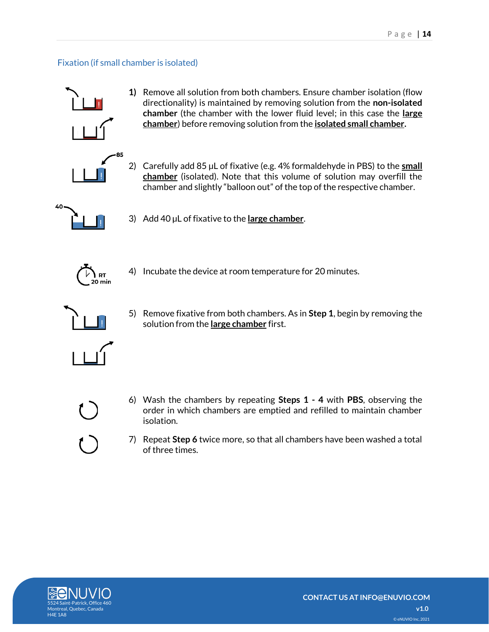## <span id="page-13-0"></span>Fixation (if small chamber is isolated)



**1)** Remove all solution from both chambers. Ensure chamber isolation (flow directionality) is maintained by removing solution from the **non-isolated chamber** (the chamber with the lower fluid level; in this case the **large chamber**) before removing solution from the **isolated small chamber.**



2) Carefully add 85 µL of fixative (e.g. 4% formaldehyde in PBS) to the **small chamber** (isolated). Note that this volume of solution may overfill the chamber and slightly "balloon out" of the top of the respective chamber.



3) Add 40 µL of fixative to the **large chamber**.



4) Incubate the device at room temperature for 20 minutes.



5) Remove fixative from both chambers. As in **Step 1**, begin by removing the solution from the **large chamber** first.

- 
- 6) Wash the chambers by repeating **Steps 1 - 4** with **PBS**, observing the order in which chambers are emptied and refilled to maintain chamber isolation.
- 7) Repeat **Step 6** twice more, so that all chambers have been washed a total of three times.

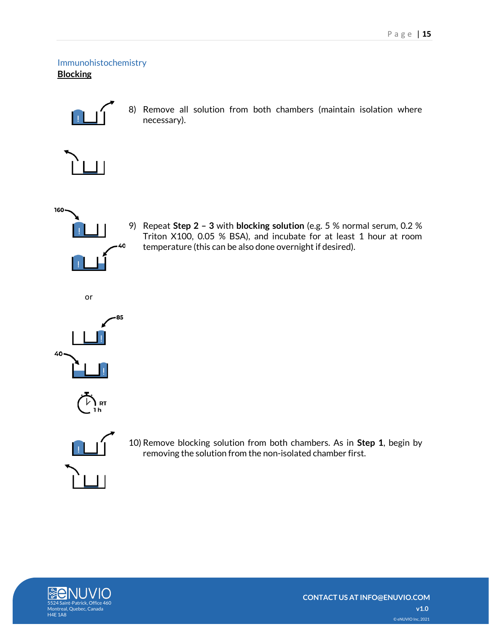<span id="page-14-1"></span><span id="page-14-0"></span>Immunohistochemistry **Blocking**

8) Remove all solution from both chambers (maintain isolation where necessary).





9) Repeat **Step 2 – 3** with **blocking solution** (e.g. 5 % normal serum, 0.2 % Triton X100, 0.05 % BSA), and incubate for at least 1 hour at room temperature (this can be also done overnight if desired).









10) Remove blocking solution from both chambers. As in **Step 1**, begin by removing the solution from the non-isolated chamber first.

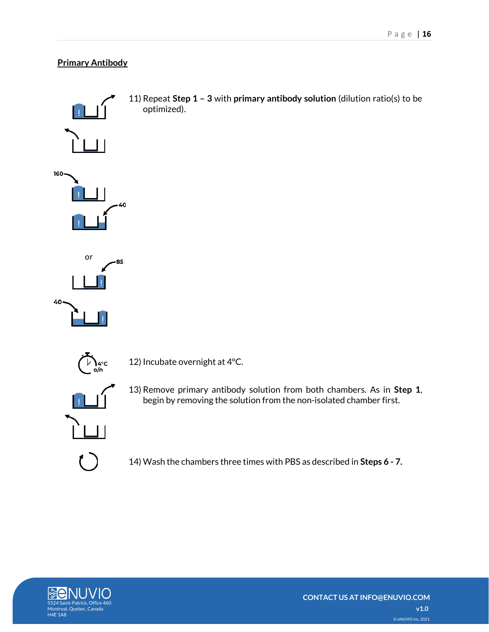## <span id="page-15-0"></span>**Primary Antibody**



14) Wash the chambers three times with PBS as described in **Steps 6 - 7.**

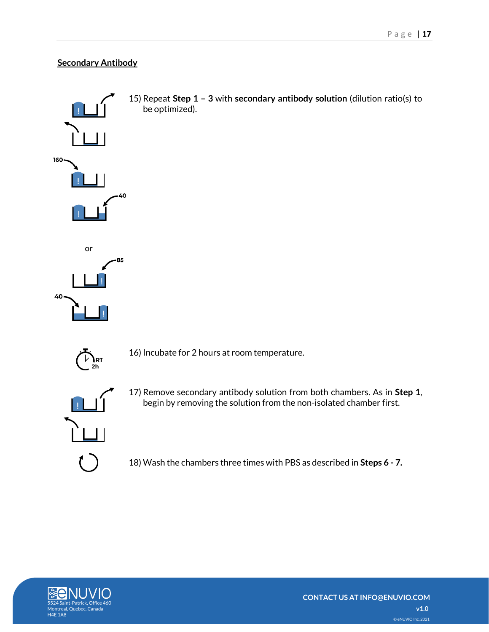## <span id="page-16-0"></span>**Secondary Antibody**

be optimized).



 $\sum_{\mathsf{2h}}$ RT

16) Incubate for 2 hours at room temperature.



17) Remove secondary antibody solution from both chambers. As in **Step 1**, begin by removing the solution from the non-isolated chamber first.

18) Wash the chambers three times with PBS as described in **Steps 6 - 7.**

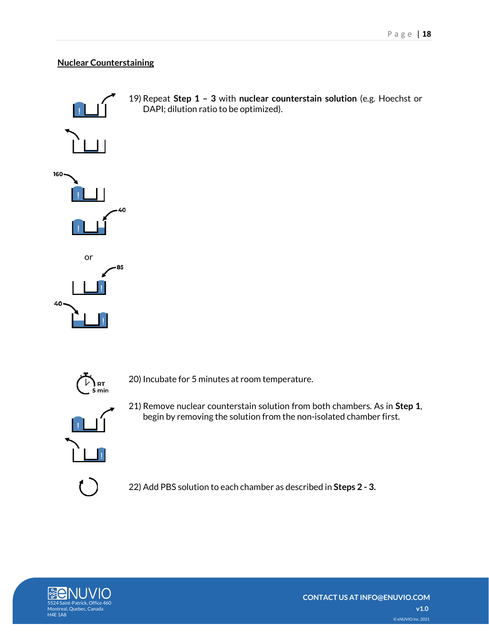## <span id="page-17-0"></span>**Nuclear Counterstaining**





20) Incubate for 5 minutes at room temperature.



21) Remove nuclear counterstain solution from both chambers. As in **Step 1**, begin by removing the solution from the non-isolated chamber first.

22) Add PBS solution to each chamber as described in **Steps 2 - 3.**

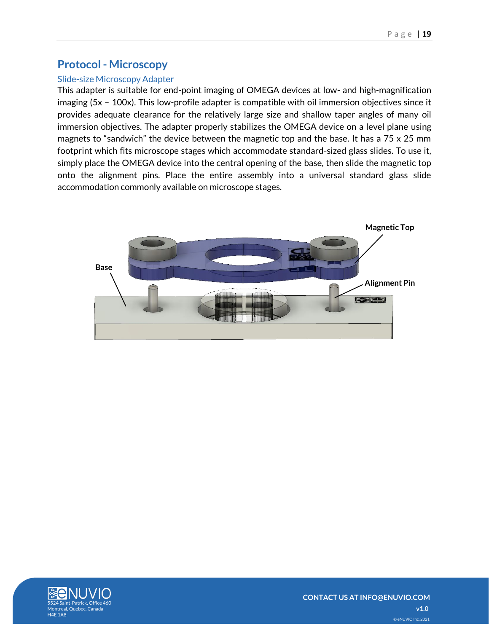## <span id="page-18-0"></span>**Protocol - Microscopy**

## <span id="page-18-1"></span>Slide-size Microscopy Adapter

This adapter is suitable for end-point imaging of OMEGA devices at low- and high-magnification imaging (5x – 100x). This low-profile adapter is compatible with oil immersion objectives since it provides adequate clearance for the relatively large size and shallow taper angles of many oil immersion objectives. The adapter properly stabilizes the OMEGA device on a level plane using magnets to "sandwich" the device between the magnetic top and the base. It has a 75 x 25 mm footprint which fits microscope stages which accommodate standard-sized glass slides. To use it, simply place the OMEGA device into the central opening of the base, then slide the magnetic top onto the alignment pins. Place the entire assembly into a universal standard glass slide accommodation commonly available on microscope stages.